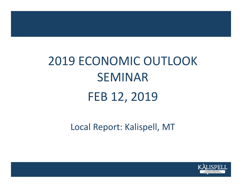# 2019 ECONOMIC OUTLOOK SEMINARFEB 12, 2019

Local Report: Kalispell, MT

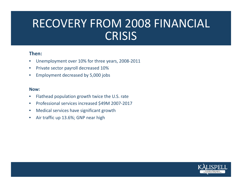# RECOVERY FROM 2008 FINANCIAL **CRISIS**

### **Then:**

- •Unemployment over 10% for three years, 2008‐2011
- $\bullet$ • Private sector payroll decreased 10%
- $\bullet$ Employment decreased by 5,000 jobs

#### **Now:**

- $\bullet$ Flathead population growth twice the U.S. rate
- $\bullet$ ● Professional services increased \$49M 2007-2017
- $\bullet$ Medical services have significant growth
- $\bullet$ • Air traffic up 13.6%; GNP near high

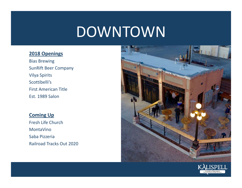# DOWNTOWN

#### **2018 Openings**

Bias Brewing SunRift Beer Company Vilya Spirits Scottibelli'sFirst American Title Est. 1989 Salon

# **Coming Up**

Fresh Life Church MontaVinoSaba Pizzeria Railroad Tracks Out 2020



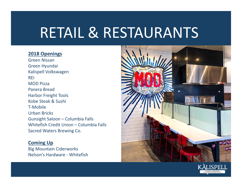# RETAIL & RESTAURANTS

#### **2018 Openings**

Green Nissan Green Hyundai Kalispell Volkswagen REIMOD Pizza Panera BreadHarbor Freight Tools Kobe Steak & Sushi T‐MobileUrban Bricks Gunsight Saloon – Columbia Falls Whitefish Credit Union – Columbia Falls Sacred Waters Brewing Co.

### **Coming Up**

Big Mountain Ciderworks Nelson's Hardware ‐ Whitefish



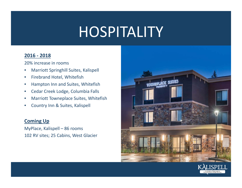# HOSPITALITY

### **2016 ‐ 2018**

20% increase in rooms

- •Marriott Springhill Suites, Kalispell
- $\bullet$ **•** Firebrand Hotel, Whitefish
- $\bullet$ Hampton Inn and Suites, Whitefish
- $\bullet$ **• Cedar Creek Lodge, Columbia Falls**
- •Marriott Towneplace Suites, Whitefish
- $\bullet$ Country Inn & Suites, Kalispell

## **Coming Up**

MyPlace, Kalispell – 86 rooms 102 RV sites; 25 Cabins, West Glacier



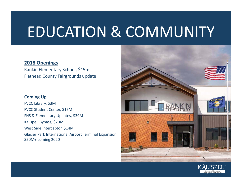# EDUCATION & COMMUNITY

#### **2018 Openings**

Rankin Elementary School, \$15m Flathead County Fairgrounds update

#### **Coming Up**

FVCC Library, \$3M FVCC Student Center, \$15M FHS & Elementary Updates, \$39M Kalispell Bypass, \$20M West Side Interceptor, \$14M Glacier Park International Airport Terminal Expansion, \$50M+ coming 2020



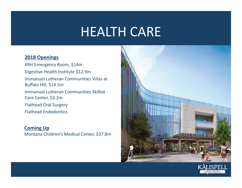# HEALTH CARE

#### **2018 Openings**

KRH Emergency Room, \$14m Digestive Health Institute \$12.9m Immanuel Lutheran Communities Villas at Buffalo Hill, \$14.5m Immanuel Lutheran Communities Skilled Care Center, \$3.2m Flathead Oral Surgery Flathead Endodontics

#### **Coming Up**

Montana Children's Medical Center, \$37.8m



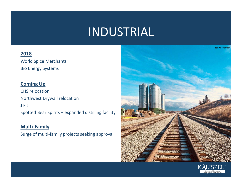# INDUSTRIAL

## **2018**

World Spice Merchants Bio Energy Systems

# **Coming Up**

CHS relocationNorthwest Drywall relocation J FitSpotted Bear Spirits – expanded distilling facility

# **Multi‐Family**

Surge of multi‐family projects seeking approval